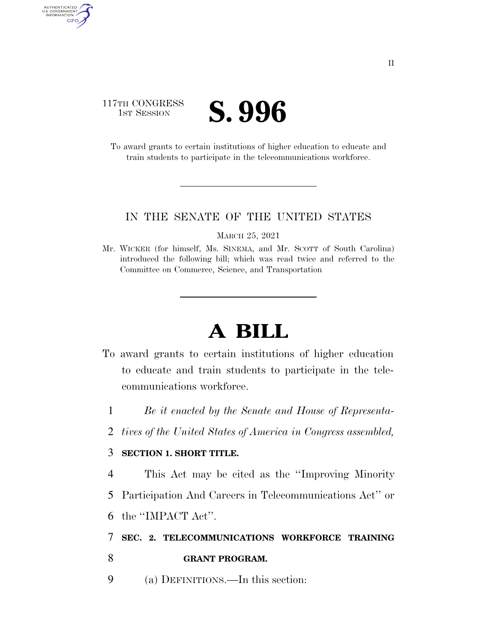## 117TH CONGRESS **IST SESSION S. 996**

AUTHENTICATED<br>U.S. GOVERNMENT<br>INFORMATION GPO

> To award grants to certain institutions of higher education to educate and train students to participate in the telecommunications workforce.

## IN THE SENATE OF THE UNITED STATES

MARCH 25, 2021

Mr. WICKER (for himself, Ms. SINEMA, and Mr. SCOTT of South Carolina) introduced the following bill; which was read twice and referred to the Committee on Commerce, Science, and Transportation

## **A BILL**

- To award grants to certain institutions of higher education to educate and train students to participate in the telecommunications workforce.
	- 1 *Be it enacted by the Senate and House of Representa-*
	- 2 *tives of the United States of America in Congress assembled,*

## 3 **SECTION 1. SHORT TITLE.**

4 This Act may be cited as the ''Improving Minority

- 5 Participation And Careers in Telecommunications Act'' or
- 6 the ''IMPACT Act''.

7 **SEC. 2. TELECOMMUNICATIONS WORKFORCE TRAINING** 

- 8 **GRANT PROGRAM.**
- 9 (a) DEFINITIONS.—In this section: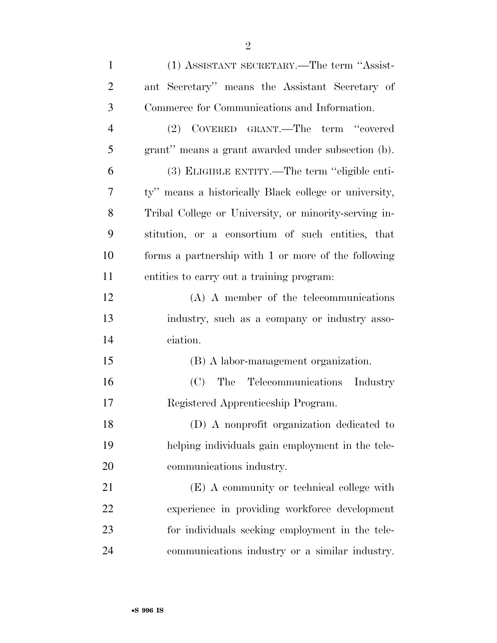| $\mathbf{1}$   | (1) ASSISTANT SECRETARY.—The term "Assist-            |
|----------------|-------------------------------------------------------|
| $\overline{2}$ | ant Secretary" means the Assistant Secretary of       |
| 3              | Commerce for Communications and Information.          |
| $\overline{4}$ | (2) COVERED GRANT.—The term "covered                  |
| 5              | grant" means a grant awarded under subsection (b).    |
| 6              | (3) ELIGIBLE ENTITY.—The term "eligible enti-         |
| 7              | ty" means a historically Black college or university, |
| 8              | Tribal College or University, or minority-serving in- |
| 9              | stitution, or a consortium of such entities, that     |
| 10             | forms a partnership with 1 or more of the following   |
| 11             | entities to carry out a training program:             |
| 12             | $(A)$ A member of the telecommunications              |
| 13             | industry, such as a company or industry asso-         |
| 14             | ciation.                                              |
| 15             | (B) A labor-management organization.                  |
| 16             | (C) The Telecommunications Industry                   |
| 17             | Registered Apprenticeship Program.                    |
| 18             | (D) A nonprofit organization dedicated to             |
| 19             | helping individuals gain employment in the tele-      |
| 20             | communications industry.                              |
| 21             | (E) A community or technical college with             |
| 22             | experience in providing workforce development         |
| 23             | for individuals seeking employment in the tele-       |
| 24             | communications industry or a similar industry.        |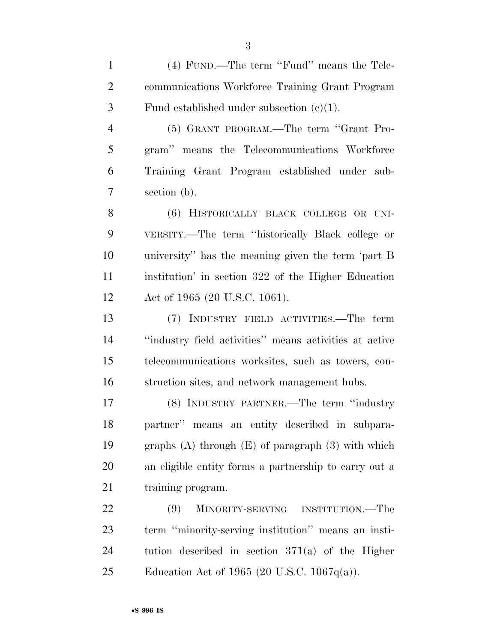(4) FUND.—The term ''Fund'' means the Tele- communications Workforce Training Grant Program 3 Fund established under subsection  $(e)(1)$ . (5) GRANT PROGRAM.—The term ''Grant Pro- gram'' means the Telecommunications Workforce Training Grant Program established under sub- section (b). 8 (6) HISTORICALLY BLACK COLLEGE OR UNI- VERSITY.—The term ''historically Black college or university'' has the meaning given the term 'part B institution' in section 322 of the Higher Education Act of 1965 (20 U.S.C. 1061). (7) INDUSTRY FIELD ACTIVITIES.—The term ''industry field activities'' means activities at active telecommunications worksites, such as towers, con- struction sites, and network management hubs. (8) INDUSTRY PARTNER.—The term ''industry partner'' means an entity described in subpara-

 graphs (A) through (E) of paragraph (3) with which an eligible entity forms a partnership to carry out a 21 training program.

 (9) MINORITY-SERVING INSTITUTION.—The term ''minority-serving institution'' means an insti- tution described in section 371(a) of the Higher Education Act of 1965 (20 U.S.C. 1067q(a)).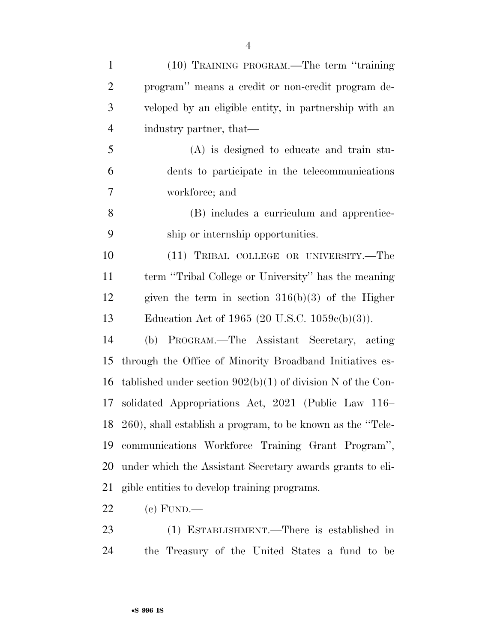| $\mathbf{1}$   | (10) TRAINING PROGRAM.—The term "training"                    |
|----------------|---------------------------------------------------------------|
| $\overline{2}$ | program" means a credit or non-credit program de-             |
| 3              | veloped by an eligible entity, in partnership with an         |
| $\overline{4}$ | industry partner, that—                                       |
| 5              | $(A)$ is designed to educate and train stu-                   |
| 6              | dents to participate in the telecommunications                |
| $\overline{7}$ | workforce; and                                                |
| 8              | (B) includes a curriculum and apprentice-                     |
| 9              | ship or internship opportunities.                             |
| 10             | (11) TRIBAL COLLEGE OR UNIVERSITY.—The                        |
| 11             | term "Tribal College or University" has the meaning           |
| 12             | given the term in section $316(b)(3)$ of the Higher           |
| 13             | Education Act of 1965 (20 U.S.C. $1059c(b)(3)$ ).             |
| 14             | (b) PROGRAM.—The Assistant Secretary, acting                  |
| 15             | through the Office of Minority Broadband Initiatives es-      |
| 16             | tablished under section $902(b)(1)$ of division N of the Con- |
| 17             | solidated Appropriations Act, 2021 (Public Law 116–           |
|                | 18 260), shall establish a program, to be known as the "Tele- |
| 19             | communications Workforce Training Grant Program",             |
| 20             | under which the Assistant Secretary awards grants to eli-     |
| 21             | gible entities to develop training programs.                  |
| 22             | $(c)$ FUND.—                                                  |

 (1) ESTABLISHMENT.—There is established in the Treasury of the United States a fund to be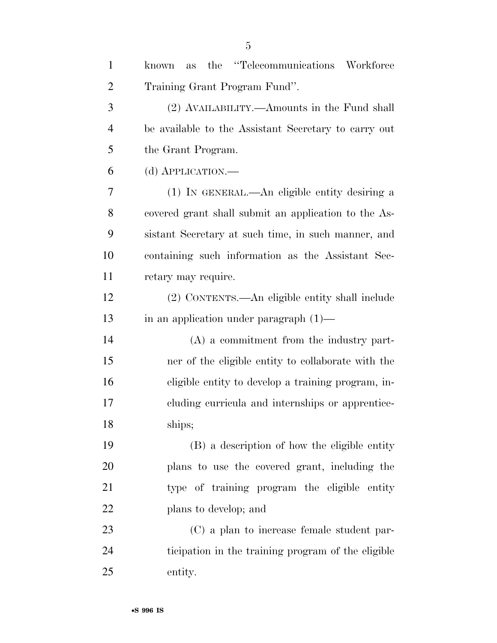| $\mathbf{1}$   | the "Telecommunications Workforce"<br>known<br>as    |
|----------------|------------------------------------------------------|
| $\overline{2}$ | Training Grant Program Fund".                        |
| 3              | (2) AVAILABILITY.—Amounts in the Fund shall          |
| $\overline{4}$ | be available to the Assistant Secretary to carry out |
| 5              | the Grant Program.                                   |
| 6              | (d) APPLICATION.—                                    |
| 7              | (1) IN GENERAL.—An eligible entity desiring a        |
| 8              | covered grant shall submit an application to the As- |
| 9              | sistant Secretary at such time, in such manner, and  |
| 10             | containing such information as the Assistant Sec-    |
| 11             | retary may require.                                  |
| 12             | (2) CONTENTS.—An eligible entity shall include       |
| 13             | in an application under paragraph $(1)$ —            |
| 14             | $(A)$ a commitment from the industry part-           |
| 15             | ner of the eligible entity to collaborate with the   |
| 16             | eligible entity to develop a training program, in-   |
| 17             | cluding curricula and internships or apprentice-     |
| 18             | ships;                                               |
| 19             | (B) a description of how the eligible entity         |
| 20             | plans to use the covered grant, including the        |
| 21             | type of training program the eligible entity         |
| 22             | plans to develop; and                                |
| 23             | (C) a plan to increase female student par-           |
| 24             | ticipation in the training program of the eligible   |
| 25             | entity.                                              |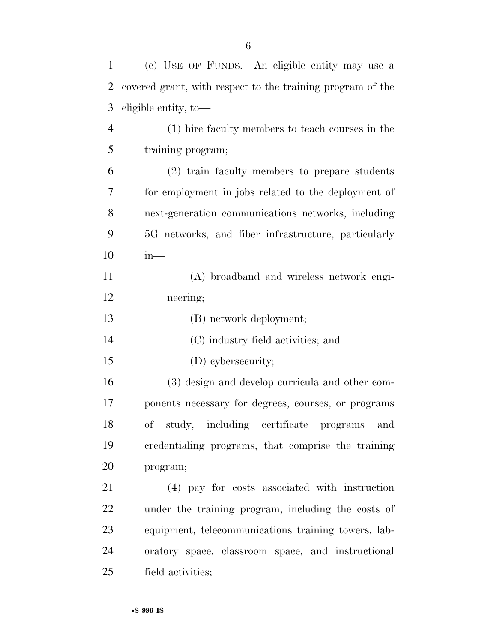| $\mathbf{1}$   | (e) USE OF FUNDS.—An eligible entity may use a             |
|----------------|------------------------------------------------------------|
| 2              | covered grant, with respect to the training program of the |
| 3              | eligible entity, to-                                       |
| $\overline{4}$ | (1) hire faculty members to teach courses in the           |
| 5              | training program;                                          |
| 6              | (2) train faculty members to prepare students              |
| 7              | for employment in jobs related to the deployment of        |
| 8              | next-generation communications networks, including         |
| 9              | 5G networks, and fiber infrastructure, particularly        |
| 10             | $in-$                                                      |
| 11             | (A) broadband and wireless network engi-                   |
| 12             | neering;                                                   |
| 13             | (B) network deployment;                                    |
| 14             | (C) industry field activities; and                         |
| 15             | (D) cybersecurity;                                         |
| 16             | (3) design and develop curricula and other com-            |
| 17             | ponents necessary for degrees, courses, or programs        |
| 18             | of study, including certificate programs and               |
| 19             | credentialing programs, that comprise the training         |
| 20             | program;                                                   |
| 21             | (4) pay for costs associated with instruction              |
| 22             | under the training program, including the costs of         |
| 23             | equipment, telecommunications training towers, lab-        |
| 24             | oratory space, classroom space, and instructional          |
| 25             | field activities;                                          |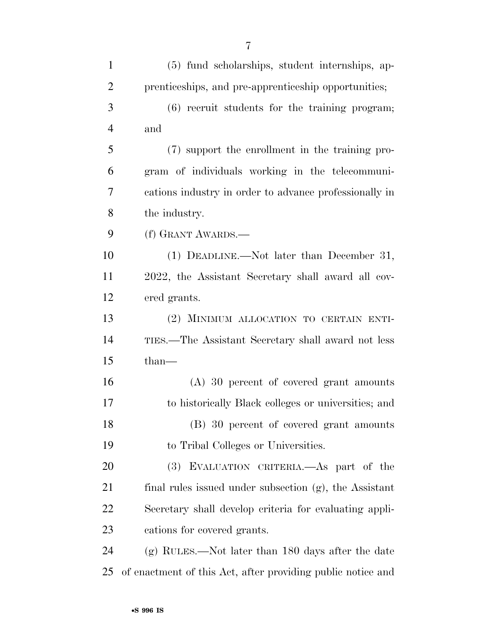| 1              | (5) fund scholarships, student internships, ap-        |
|----------------|--------------------------------------------------------|
| $\overline{2}$ | prenticeships, and pre-apprenticeship opportunities;   |
| 3              | $(6)$ recruit students for the training program;       |
| $\overline{4}$ | and                                                    |
| 5              | (7) support the enrollment in the training pro-        |
| 6              | gram of individuals working in the telecommuni-        |
| 7              | cations industry in order to advance professionally in |
| 8              | the industry.                                          |
| 9              | (f) GRANT AWARDS.-                                     |
| 10             | $(1)$ DEADLINE.—Not later than December 31,            |
| 11             | 2022, the Assistant Secretary shall award all cov-     |
|                |                                                        |

ered grants.

 (2) MINIMUM ALLOCATION TO CERTAIN ENTI- TIES.—The Assistant Secretary shall award not less than—

 (A) 30 percent of covered grant amounts to historically Black colleges or universities; and (B) 30 percent of covered grant amounts to Tribal Colleges or Universities.

 (3) EVALUATION CRITERIA.—As part of the final rules issued under subsection (g), the Assistant Secretary shall develop criteria for evaluating appli-cations for covered grants.

 (g) RULES.—Not later than 180 days after the date of enactment of this Act, after providing public notice and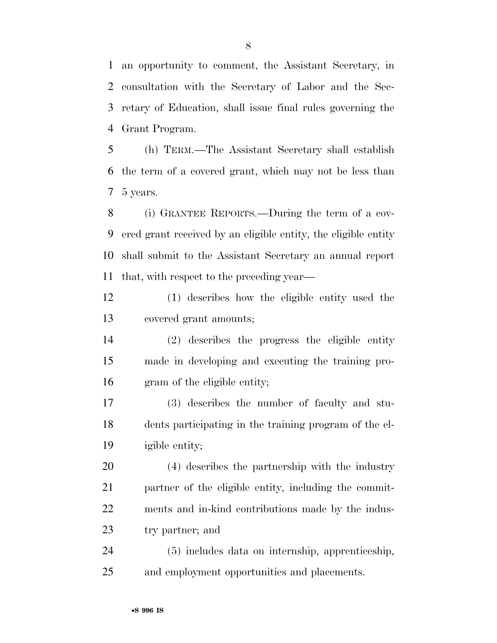an opportunity to comment, the Assistant Secretary, in consultation with the Secretary of Labor and the Sec- retary of Education, shall issue final rules governing the Grant Program.

 (h) TERM.—The Assistant Secretary shall establish the term of a covered grant, which may not be less than 5 years.

 (i) GRANTEE REPORTS.—During the term of a cov- ered grant received by an eligible entity, the eligible entity shall submit to the Assistant Secretary an annual report that, with respect to the preceding year—

 (1) describes how the eligible entity used the covered grant amounts;

 (2) describes the progress the eligible entity made in developing and executing the training pro-gram of the eligible entity;

 (3) describes the number of faculty and stu- dents participating in the training program of the el-igible entity;

 (4) describes the partnership with the industry partner of the eligible entity, including the commit- ments and in-kind contributions made by the indus-try partner; and

 (5) includes data on internship, apprenticeship, and employment opportunities and placements.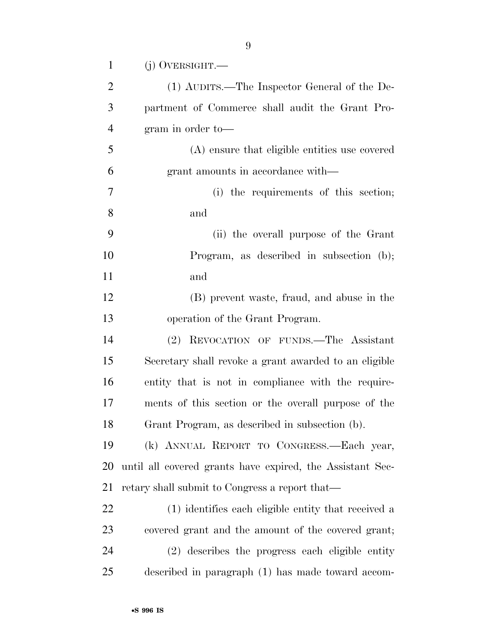| $\mathbf{1}$   | $(j)$ OVERSIGHT.—                                         |
|----------------|-----------------------------------------------------------|
| $\overline{2}$ | (1) AUDITS.—The Inspector General of the De-              |
| 3              | partment of Commerce shall audit the Grant Pro-           |
| $\overline{4}$ | gram in order to-                                         |
| 5              | (A) ensure that eligible entities use covered             |
| 6              | grant amounts in accordance with—                         |
| 7              | (i) the requirements of this section;                     |
| 8              | and                                                       |
| 9              | (ii) the overall purpose of the Grant                     |
| 10             | Program, as described in subsection (b);                  |
| 11             | and                                                       |
| 12             | (B) prevent waste, fraud, and abuse in the                |
| 13             | operation of the Grant Program.                           |
| 14             | (2) REVOCATION OF FUNDS.—The Assistant                    |
| 15             | Secretary shall revoke a grant awarded to an eligible     |
| 16             | entity that is not in compliance with the require-        |
| 17             | ments of this section or the overall purpose of the       |
| 18             | Grant Program, as described in subsection (b).            |
| 19             | (k) ANNUAL REPORT TO CONGRESS.-Each year,                 |
| 20             | until all covered grants have expired, the Assistant Sec- |
| 21             | retary shall submit to Congress a report that—            |
| 22             | (1) identifies each eligible entity that received a       |
| 23             | covered grant and the amount of the covered grant;        |
| 24             | (2) describes the progress each eligible entity           |
| 25             | described in paragraph (1) has made toward accom-         |